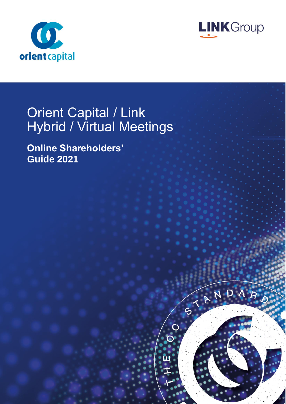



ANDA

# Orient Capital / Link Hybrid / Virtual Meetings

**Online Shareholders' Guide 2021**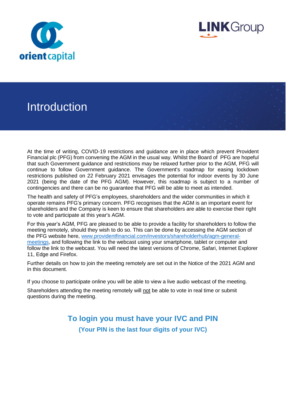



### Introduction

At the time of writing, COVID-19 restrictions and guidance are in place which prevent Provident Financial plc (PFG) from convening the AGM in the usual way. Whilst the Board of PFG are hopeful that such Government guidance and restrictions may be relaxed further prior to the AGM, PFG will continue to follow Government guidance. The Government's roadmap for easing lockdown restrictions published on 22 February 2021 envisages the potential for indoor events by 30 June 2021 (being the date of the PFG AGM). However, this roadmap is subject to a number of contingencies and there can be no guarantee that PFG will be able to meet as intended.

The health and safety of PFG's employees, shareholders and the wider communities in which it operate remains PFG's primary concern. PFG recognises that the AGM is an important event for shareholders and the Company is keen to ensure that shareholders are able to exercise their right to vote and participate at this year's AGM.

For this year's AGM, PFG are pleased to be able to provide a facility for shareholders to follow the meeting remotely, should they wish to do so. This can be done by accessing the AGM section of the PFG website here, [www.providentfinancial.com/investors/shareholderhub/agm-general](http://www.providentfinancial.com/investors/shareholderhub/agm-general-meetings)[meetings,](http://www.providentfinancial.com/investors/shareholderhub/agm-general-meetings) and following the link to the webcast using your smartphone, tablet or computer and follow the link to the webcast. You will need the latest versions of Chrome, Safari, Internet Explorer 11, Edge and Firefox.

Further details on how to join the meeting remotely are set out in the Notice of the 2021 AGM and in this document.

If you choose to participate online you will be able to view a live audio webcast of the meeting.

Shareholders attending the meeting remotely will not be able to vote in real time or submit questions during the meeting.

> **To login you must have your IVC and PIN (Your PIN is the last four digits of your IVC)**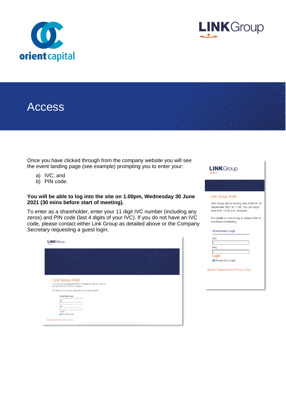



### Access

Once you have clicked through from the company website you will see the event landing page (see example) prompting you to enter your:

- a) IVC; and
- b) PIN code.

#### **You will be able to log into the site on 1.00pm, Wednesday 30 June 2021 (30 mins before start of meeting).**

To enter as a shareholder, enter your 11 digit IVC number (including any zeros) and PIN code (last 4 digits of your IVC). If you do not have an IVC code, please contact either Link Group as detailed above or the Company Secretary requesting a guest login.

| <b>LINK</b> Group                                                                                                                                                                                                    |
|----------------------------------------------------------------------------------------------------------------------------------------------------------------------------------------------------------------------|
| <b>Contract of Contract of Street</b>                                                                                                                                                                                |
| <b>Link Group AGM</b><br>Link Group will be holding their AGM on 16 September 2021 at 11:00. You<br>can log in here from 10:30 a.m. onwards.<br>For details on how to log in, please refer to the Notice of Meeting. |
| Shareholder Login                                                                                                                                                                                                    |
| <b>IVC</b>                                                                                                                                                                                                           |
| PIN                                                                                                                                                                                                                  |
| Login                                                                                                                                                                                                                |
| <b>B</b> Remember Login                                                                                                                                                                                              |
| System Requirements   Privacy Policy                                                                                                                                                                                 |

**LINK**Group

#### **Link Group AGM**

Link Group will be holding their AGM on 16 September 2021 at 11:00. You can log in here from 10:30 a.m. onwards.

For details on how to log in, please refer to the Notice of Meeting.

Shareholder Login

| <b>IVC</b>     |  |
|----------------|--|
|                |  |
| PIN            |  |
|                |  |
| Login          |  |
| Remember Login |  |

**System Requirements | Privacy Policy**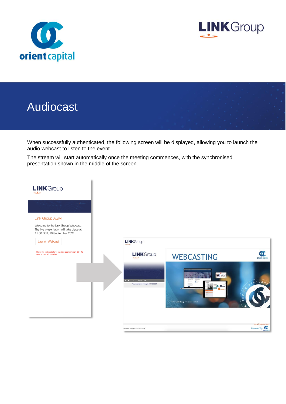



## Audiocast

When successfully authenticated, the following screen will be displayed, allowing you to launch the audio webcast to listen to the event.

The stream will start automatically once the meeting commences, with the synchronised presentation shown in the middle of the screen.

| LINKGroup                                                                                                                                                         |                                                                                  |                                        |                                 |
|-------------------------------------------------------------------------------------------------------------------------------------------------------------------|----------------------------------------------------------------------------------|----------------------------------------|---------------------------------|
|                                                                                                                                                                   |                                                                                  |                                        |                                 |
| <b>Link Group AGM</b><br>Welcome to the Link Group Webcast.<br>The live presentation will take place at<br>11:00 BST, 16 September 2021.<br><b>Launch Webcast</b> | <b>LINK</b> Group                                                                |                                        |                                 |
| Note: The webcast player can take approximately 30 - 40<br>secs to load all properties                                                                            | <b>LINK</b> Group                                                                | <b>WEBCASTING</b>                      | orient capital                  |
|                                                                                                                                                                   | $H$ $\Rightarrow$ $\cos 2t$ $\cos t$<br>The presentation will begin at 11:00 BST | <b>AL</b> 2018                         | ANDARO                          |
|                                                                                                                                                                   | All material copyright @ 2021 Link Group                                         | Part of Link Group   Corporate Markets | www.linkgroup.com<br>Powered By |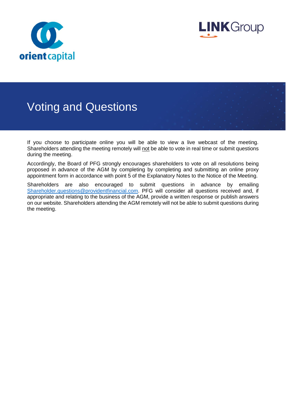



### Voting and Questions

If you choose to participate online you will be able to view a live webcast of the meeting. Shareholders attending the meeting remotely will not be able to vote in real time or submit questions during the meeting.

Accordingly, the Board of PFG strongly encourages shareholders to vote on all resolutions being proposed in advance of the AGM by completing by completing and submitting an online proxy appointment form in accordance with point 5 of the Explanatory Notes to the Notice of the Meeting.

Shareholders are also encouraged to submit questions in advance by emailing [Shareholder.questions@providentfinancial.com.](mailto:Shareholder.questions@providentfinancial.com) PFG will consider all questions received and, if appropriate and relating to the business of the AGM, provide a written response or publish answers on our website. Shareholders attending the AGM remotely will not be able to submit questions during the meeting.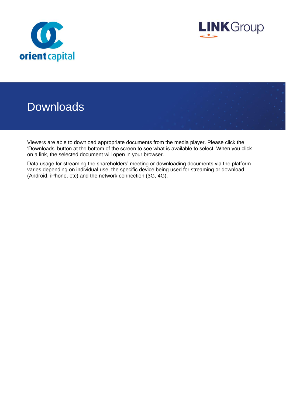



### **Downloads**

Viewers are able to download appropriate documents from the media player. Please click the 'Downloads' button at the bottom of the screen to see what is available to select. When you click on a link, the selected document will open in your browser.

Data usage for streaming the shareholders' meeting or downloading documents via the platform varies depending on individual use, the specific device being used for streaming or download (Android, iPhone, etc) and the network connection (3G, 4G).